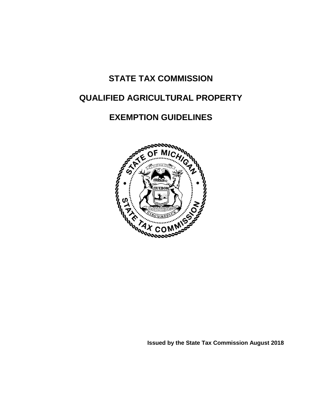# **STATE TAX COMMISSION**

# **QUALIFIED AGRICULTURAL PROPERTY**

# **EXEMPTION GUIDELINES**



**Issued by the State Tax Commission August 2018**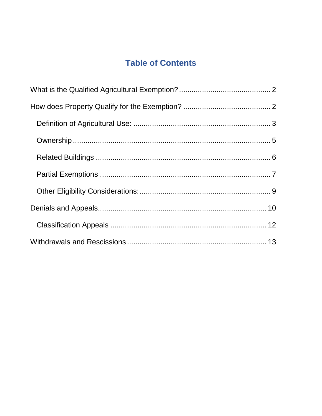# **Table of Contents**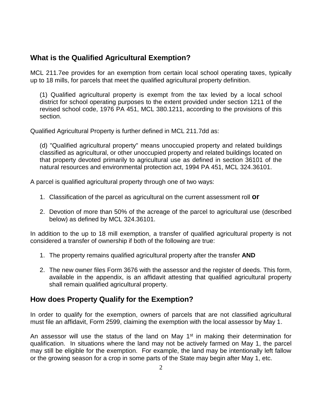## <span id="page-2-0"></span>**What is the Qualified Agricultural Exemption?**

MCL 211.7ee provides for an exemption from certain local school operating taxes, typically up to 18 mills, for parcels that meet the qualified agricultural property definition.

(1) Qualified agricultural property is exempt from the tax levied by a local school district for school operating purposes to the extent provided under section 1211 of the revised school code, 1976 PA 451, MCL 380.1211, according to the provisions of this section.

Qualified Agricultural Property is further defined in MCL 211.7dd as:

(d) "Qualified agricultural property" means unoccupied property and related buildings classified as agricultural, or other unoccupied property and related buildings located on that property devoted primarily to agricultural use as defined in section 36101 of the natural resources and environmental protection act, 1994 PA 451, MCL 324.36101.

A parcel is qualified agricultural property through one of two ways:

- 1. Classification of the parcel as agricultural on the current assessment roll **or**
- 2. Devotion of more than 50% of the acreage of the parcel to agricultural use (described below) as defined by MCL 324.36101.

In addition to the up to 18 mill exemption, a transfer of qualified agricultural property is not considered a transfer of ownership if both of the following are true:

- 1. The property remains qualified agricultural property after the transfer **AND**
- 2. The new owner files Form 3676 with the assessor and the register of deeds. This form, available in the appendix, is an affidavit attesting that qualified agricultural property shall remain qualified agricultural property.

## <span id="page-2-1"></span>**How does Property Qualify for the Exemption?**

In order to qualify for the exemption, owners of parcels that are not classified agricultural must file an affidavit, Form 2599, claiming the exemption with the local assessor by May 1.

An assessor will use the status of the land on May  $1<sup>st</sup>$  in making their determination for qualification. In situations where the land may not be actively farmed on May 1, the parcel may still be eligible for the exemption. For example, the land may be intentionally left fallow or the growing season for a crop in some parts of the State may begin after May 1, etc.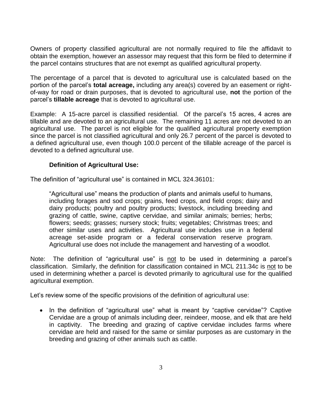Owners of property classified agricultural are not normally required to file the affidavit to obtain the exemption, however an assessor may request that this form be filed to determine if the parcel contains structures that are not exempt as qualified agricultural property.

The percentage of a parcel that is devoted to agricultural use is calculated based on the portion of the parcel's **total acreage,** including any area(s) covered by an easement or rightof-way for road or drain purposes, that is devoted to agricultural use, **not** the portion of the parcel's **tillable acreage** that is devoted to agricultural use.

Example: A 15-acre parcel is classified residential. Of the parcel's 15 acres, 4 acres are tillable and are devoted to an agricultural use. The remaining 11 acres are not devoted to an agricultural use. The parcel is not eligible for the qualified agricultural property exemption since the parcel is not classified agricultural and only 26.7 percent of the parcel is devoted to a defined agricultural use, even though 100.0 percent of the tillable acreage of the parcel is devoted to a defined agricultural use.

### **Definition of Agricultural Use:**

<span id="page-3-0"></span>The definition of "agricultural use" is contained in MCL 324.36101:

"Agricultural use" means the production of plants and animals useful to humans, including forages and sod crops; grains, feed crops, and field crops; dairy and dairy products; poultry and poultry products; livestock, including breeding and grazing of cattle, swine, captive cervidae, and similar animals; berries; herbs; flowers; seeds; grasses; nursery stock; fruits; vegetables; Christmas trees; and other similar uses and activities. Agricultural use includes use in a federal acreage set-aside program or a federal conservation reserve program. Agricultural use does not include the management and harvesting of a woodlot.

Note: The definition of "agricultural use" is not to be used in determining a parcel's classification. Similarly, the definition for classification contained in MCL 211.34c is not to be used in determining whether a parcel is devoted primarily to agricultural use for the qualified agricultural exemption.

Let's review some of the specific provisions of the definition of agricultural use:

• In the definition of "agricultural use" what is meant by "captive cervidae"? Captive Cervidae are a group of animals including deer, reindeer, moose, and elk that are held in captivity. The breeding and grazing of captive cervidae includes farms where cervidae are held and raised for the same or similar purposes as are customary in the breeding and grazing of other animals such as cattle.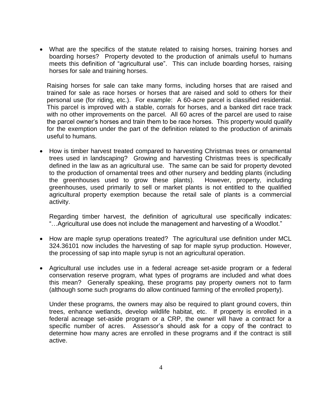• What are the specifics of the statute related to raising horses, training horses and boarding horses? Property devoted to the production of animals useful to humans meets this definition of "agricultural use". This can include boarding horses, raising horses for sale and training horses.

Raising horses for sale can take many forms, including horses that are raised and trained for sale as race horses or horses that are raised and sold to others for their personal use (for riding, etc.). For example: A 60-acre parcel is classified residential. This parcel is improved with a stable, corrals for horses, and a banked dirt race track with no other improvements on the parcel. All 60 acres of the parcel are used to raise the parcel owner's horses and train them to be race horses. This property would qualify for the exemption under the part of the definition related to the production of animals useful to humans.

• How is timber harvest treated compared to harvesting Christmas trees or ornamental trees used in landscaping? Growing and harvesting Christmas trees is specifically defined in the law as an agricultural use. The same can be said for property devoted to the production of ornamental trees and other nursery and bedding plants (including the greenhouses used to grow these plants). However, property, including greenhouses, used primarily to sell or market plants is not entitled to the qualified agricultural property exemption because the retail sale of plants is a commercial activity.

Regarding timber harvest, the definition of agricultural use specifically indicates: "…Agricultural use does not include the management and harvesting of a Woodlot."

- How are maple syrup operations treated? The agricultural use definition under MCL 324.36101 now includes the harvesting of sap for maple syrup production. However, the processing of sap into maple syrup is not an agricultural operation.
- Agricultural use includes use in a federal acreage set-aside program or a federal conservation reserve program, what types of programs are included and what does this mean? Generally speaking, these programs pay property owners not to farm (although some such programs do allow continued farming of the enrolled property).

Under these programs, the owners may also be required to plant ground covers, thin trees, enhance wetlands, develop wildlife habitat, etc. If property is enrolled in a federal acreage set-aside program or a CRP, the owner will have a contract for a specific number of acres. Assessor's should ask for a copy of the contract to determine how many acres are enrolled in these programs and if the contract is still active.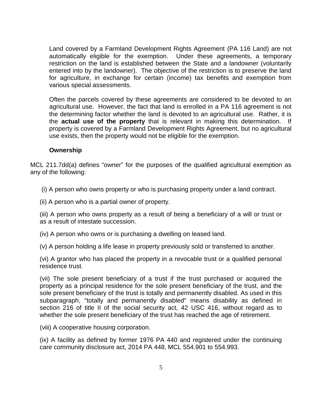Land covered by a Farmland Development Rights Agreement (PA 116 Land) are not automatically eligible for the exemption. Under these agreements, a temporary restriction on the land is established between the State and a landowner (voluntarily entered into by the landowner). The objective of the restriction is to preserve the land for agriculture, in exchange for certain (income) tax benefits and exemption from various special assessments.

Often the parcels covered by these agreements are considered to be devoted to an agricultural use. However, the fact that land is enrolled in a PA 116 agreement is not the determining factor whether the land is devoted to an agricultural use. Rather, it is the **actual use of the property** that is relevant in making this determination. If property is covered by a Farmland Development Rights Agreement, but no agricultural use exists, then the property would not be eligible for the exemption.

#### **Ownership**

<span id="page-5-0"></span>MCL 211.7dd(a) defines "owner" for the purposes of the qualified agricultural exemption as any of the following:

(i) A person who owns property or who is purchasing property under a land contract.

(ii) A person who is a partial owner of property.

(iii) A person who owns property as a result of being a beneficiary of a will or trust or as a result of intestate succession.

(iv) A person who owns or is purchasing a dwelling on leased land.

(v) A person holding a life lease in property previously sold or transferred to another.

(vi) A grantor who has placed the property in a revocable trust or a qualified personal residence trust.

(vii) The sole present beneficiary of a trust if the trust purchased or acquired the property as a principal residence for the sole present beneficiary of the trust, and the sole present beneficiary of the trust is totally and permanently disabled. As used in this subparagraph, "totally and permanently disabled" means disability as defined in section 216 of title II of the social security act, 42 USC 416, without regard as to whether the sole present beneficiary of the trust has reached the age of retirement.

(viii) A cooperative housing corporation.

(ix) A facility as defined by former 1976 PA 440 and registered under the continuing care community disclosure act, 2014 PA 448, MCL 554.901 to 554.993.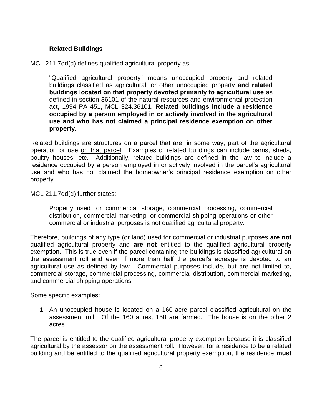#### **Related Buildings**

#### <span id="page-6-0"></span>MCL 211.7dd(d) defines qualified agricultural property as:

"Qualified agricultural property" means unoccupied property and related buildings classified as agricultural, or other unoccupied property **and related buildings located on that property devoted primarily to agricultural use** as defined in section 36101 of the natural resources and environmental protection act, 1994 PA 451, MCL 324.36101. **Related buildings include a residence occupied by a person employed in or actively involved in the agricultural use and who has not claimed a principal residence exemption on other property.**

Related buildings are structures on a parcel that are, in some way, part of the agricultural operation or use on that parcel. Examples of related buildings can include barns, sheds, poultry houses, etc. Additionally, related buildings are defined in the law to include a residence occupied by a person employed in or actively involved in the parcel's agricultural use and who has not claimed the homeowner's principal residence exemption on other property.

MCL 211.7dd(d) further states:

Property used for commercial storage, commercial processing, commercial distribution, commercial marketing, or commercial shipping operations or other commercial or industrial purposes is not qualified agricultural property.

Therefore, buildings of any type (or land) used for commercial or industrial purposes **are not** qualified agricultural property and **are not** entitled to the qualified agricultural property exemption. This is true even if the parcel containing the buildings is classified agricultural on the assessment roll and even if more than half the parcel's acreage is devoted to an agricultural use as defined by law. Commercial purposes include, but are not limited to, commercial storage, commercial processing, commercial distribution, commercial marketing, and commercial shipping operations.

Some specific examples:

1. An unoccupied house is located on a 160-acre parcel classified agricultural on the assessment roll. Of the 160 acres, 158 are farmed. The house is on the other 2 acres.

The parcel is entitled to the qualified agricultural property exemption because it is classified agricultural by the assessor on the assessment roll. However, for a residence to be a related building and be entitled to the qualified agricultural property exemption, the residence **must**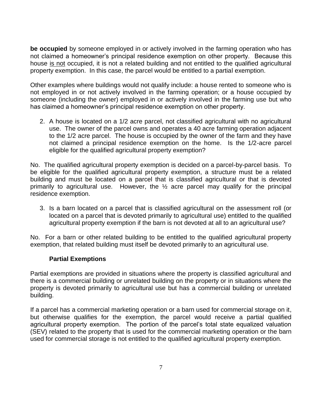**be occupied** by someone employed in or actively involved in the farming operation who has not claimed a homeowner's principal residence exemption on other property. Because this house is not occupied, it is not a related building and not entitled to the qualified agricultural property exemption. In this case, the parcel would be entitled to a partial exemption.

Other examples where buildings would not qualify include: a house rented to someone who is not employed in or not actively involved in the farming operation; or a house occupied by someone (including the owner) employed in or actively involved in the farming use but who has claimed a homeowner's principal residence exemption on other property.

2. A house is located on a 1/2 acre parcel, not classified agricultural with no agricultural use. The owner of the parcel owns and operates a 40 acre farming operation adjacent to the 1/2 acre parcel. The house is occupied by the owner of the farm and they have not claimed a principal residence exemption on the home. Is the 1/2-acre parcel eligible for the qualified agricultural property exemption?

No. The qualified agricultural property exemption is decided on a parcel-by-parcel basis. To be eligible for the qualified agricultural property exemption, a structure must be a related building and must be located on a parcel that is classified agricultural or that is devoted primarily to agricultural use. However, the ½ acre parcel may qualify for the principal residence exemption.

3. Is a barn located on a parcel that is classified agricultural on the assessment roll (or located on a parcel that is devoted primarily to agricultural use) entitled to the qualified agricultural property exemption if the barn is not devoted at all to an agricultural use?

No. For a barn or other related building to be entitled to the qualified agricultural property exemption, that related building must itself be devoted primarily to an agricultural use.

### **Partial Exemptions**

<span id="page-7-0"></span>Partial exemptions are provided in situations where the property is classified agricultural and there is a commercial building or unrelated building on the property or in situations where the property is devoted primarily to agricultural use but has a commercial building or unrelated building.

If a parcel has a commercial marketing operation or a barn used for commercial storage on it, but otherwise qualifies for the exemption, the parcel would receive a partial qualified agricultural property exemption. The portion of the parcel's total state equalized valuation (SEV) related to the property that is used for the commercial marketing operation or the barn used for commercial storage is not entitled to the qualified agricultural property exemption.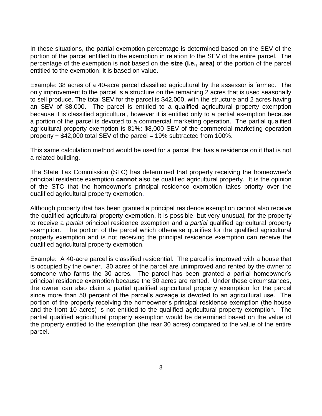In these situations, the partial exemption percentage is determined based on the SEV of the portion of the parcel entitled to the exemption in relation to the SEV of the entire parcel. The percentage of the exemption is **not** based on the **size (i.e., area)** of the portion of the parcel entitled to the exemption; it is based on value.

Example: 38 acres of a 40-acre parcel classified agricultural by the assessor is farmed. The only improvement to the parcel is a structure on the remaining 2 acres that is used seasonally to sell produce. The total SEV for the parcel is \$42,000, with the structure and 2 acres having an SEV of \$8,000. The parcel is entitled to a qualified agricultural property exemption because it is classified agricultural, however it is entitled only to a partial exemption because a portion of the parcel is devoted to a commercial marketing operation. The partial qualified agricultural property exemption is 81%: \$8,000 SEV of the commercial marketing operation property  $\div$  \$42,000 total SEV of the parcel = 19% subtracted from 100%.

This same calculation method would be used for a parcel that has a residence on it that is not a related building.

The State Tax Commission (STC) has determined that property receiving the homeowner's principal residence exemption **cannot** also be qualified agricultural property. It is the opinion of the STC that the homeowner's principal residence exemption takes priority over the qualified agricultural property exemption.

Although property that has been granted a principal residence exemption cannot also receive the qualified agricultural property exemption, it is possible, but very unusual, for the property to receive a *partial* principal residence exemption and a *partial* qualified agricultural property exemption. The portion of the parcel which otherwise qualifies for the qualified agricultural property exemption and is not receiving the principal residence exemption can receive the qualified agricultural property exemption.

Example: A 40-acre parcel is classified residential. The parcel is improved with a house that is occupied by the owner. 30 acres of the parcel are unimproved and rented by the owner to someone who farms the 30 acres. The parcel has been granted a partial homeowner's principal residence exemption because the 30 acres are rented. Under these circumstances, the owner can also claim a partial qualified agricultural property exemption for the parcel since more than 50 percent of the parcel's acreage is devoted to an agricultural use. The portion of the property receiving the homeowner's principal residence exemption (the house and the front 10 acres) is not entitled to the qualified agricultural property exemption. The partial qualified agricultural property exemption would be determined based on the value of the property entitled to the exemption (the rear 30 acres) compared to the value of the entire parcel.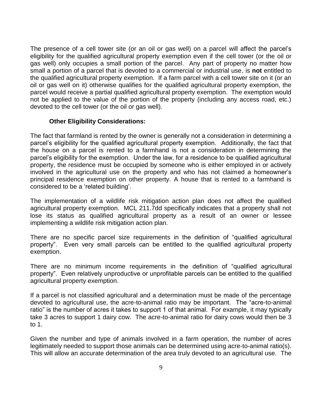The presence of a cell tower site (or an oil or gas well) on a parcel will affect the parcel's eligibility for the qualified agricultural property exemption even if the cell tower (or the oil or gas well) only occupies a small portion of the parcel. Any part of property no matter how small a portion of a parcel that is devoted to a commercial or industrial use, is **not** entitled to the qualified agricultural property exemption. If a farm parcel with a cell tower site on it (or an oil or gas well on it) otherwise qualifies for the qualified agricultural property exemption, the parcel would receive a partial qualified agricultural property exemption. The exemption would not be applied to the value of the portion of the property (including any access road, etc.) devoted to the cell tower (or the oil or gas well).

#### **Other Eligibility Considerations:**

<span id="page-9-0"></span>The fact that farmland is rented by the owner is generally not a consideration in determining a parcel's eligibility for the qualified agricultural property exemption. Additionally, the fact that the house on a parcel is rented to a farmhand is not a consideration in determining the parcel's eligibility for the exemption. Under the law, for a residence to be qualified agricultural property, the residence must be occupied by someone who is either employed in or actively involved in the agricultural use on the property and who has not claimed a homeowner's principal residence exemption on other property. A house that is rented to a farmhand is considered to be a 'related building'.

The implementation of a wildlife risk mitigation action plan does not affect the qualified agricultural property exemption. MCL 211.7dd specifically indicates that a property shall not lose its status as qualified agricultural property as a result of an owner or lessee implementing a wildlife risk mitigation action plan.

There are no specific parcel size requirements in the definition of "qualified agricultural property". Even very small parcels can be entitled to the qualified agricultural property exemption.

There are no minimum income requirements in the definition of "qualified agricultural property". Even relatively unproductive or unprofitable parcels can be entitled to the qualified agricultural property exemption.

If a parcel is not classified agricultural and a determination must be made of the percentage devoted to agricultural use, the acre-to-animal ratio may be important. The "acre-to-animal ratio" is the number of acres it takes to support 1 of that animal. For example, it may typically take 3 acres to support 1 dairy cow. The acre-to-animal ratio for dairy cows would then be 3 to 1.

Given the number and type of animals involved in a farm operation, the number of acres legitimately needed to support those animals can be determined using acre-to-animal ratio(s). This will allow an accurate determination of the area truly devoted to an agricultural use. The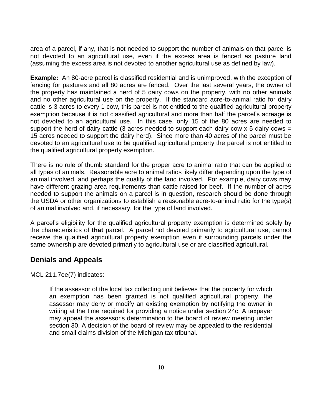area of a parcel, if any, that is not needed to support the number of animals on that parcel is not devoted to an agricultural use, even if the excess area is fenced as pasture land (assuming the excess area is not devoted to another agricultural use as defined by law).

**Example:** An 80-acre parcel is classified residential and is unimproved, with the exception of fencing for pastures and all 80 acres are fenced. Over the last several years, the owner of the property has maintained a herd of 5 dairy cows on the property, with no other animals and no other agricultural use on the property. If the standard acre-to-animal ratio for dairy cattle is 3 acres to every 1 cow, this parcel is not entitled to the qualified agricultural property exemption because it is not classified agricultural and more than half the parcel's acreage is not devoted to an agricultural use. In this case, only 15 of the 80 acres are needed to support the herd of dairy cattle (3 acres needed to support each dairy cow  $x$  5 dairy cows = 15 acres needed to support the dairy herd). Since more than 40 acres of the parcel must be devoted to an agricultural use to be qualified agricultural property the parcel is not entitled to the qualified agricultural property exemption.

There is no rule of thumb standard for the proper acre to animal ratio that can be applied to all types of animals. Reasonable acre to animal ratios likely differ depending upon the type of animal involved, and perhaps the quality of the land involved. For example, dairy cows may have different grazing area requirements than cattle raised for beef. If the number of acres needed to support the animals on a parcel is in question, research should be done through the USDA or other organizations to establish a reasonable acre-to-animal ratio for the type(s) of animal involved and, if necessary, for the type of land involved.

A parcel's eligibility for the qualified agricultural property exemption is determined solely by the characteristics of **that** parcel. A parcel not devoted primarily to agricultural use, cannot receive the qualified agricultural property exemption even if surrounding parcels under the same ownership are devoted primarily to agricultural use or are classified agricultural.

## <span id="page-10-0"></span>**Denials and Appeals**

MCL 211.7ee(7) indicates:

If the assessor of the local tax collecting unit believes that the property for which an exemption has been granted is not qualified agricultural property, the assessor may deny or modify an existing exemption by notifying the owner in writing at the time required for providing a notice under section 24c. A taxpayer may appeal the assessor's determination to the board of review meeting under section 30. A decision of the board of review may be appealed to the residential and small claims division of the Michigan tax tribunal.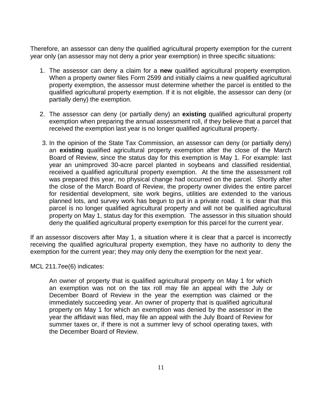Therefore, an assessor can deny the qualified agricultural property exemption for the current year only (an assessor may not deny a prior year exemption) in three specific situations:

- 1. The assessor can deny a claim for a **new** qualified agricultural property exemption. When a property owner files Form 2599 and initially claims a new qualified agricultural property exemption, the assessor must determine whether the parcel is entitled to the qualified agricultural property exemption. If it is not eligible, the assessor can deny (or partially deny) the exemption.
- 2. The assessor can deny (or partially deny) an **existing** qualified agricultural property exemption when preparing the annual assessment roll, if they believe that a parcel that received the exemption last year is no longer qualified agricultural property.
- 3. In the opinion of the State Tax Commission, an assessor can deny (or partially deny) an **existing** qualified agricultural property exemption after the close of the March Board of Review, since the status day for this exemption is May 1. For example: last year an unimproved 30-acre parcel planted in soybeans and classified residential, received a qualified agricultural property exemption. At the time the assessment roll was prepared this year, no physical change had occurred on the parcel. Shortly after the close of the March Board of Review, the property owner divides the entire parcel for residential development, site work begins, utilities are extended to the various planned lots, and survey work has begun to put in a private road. It is clear that this parcel is no longer qualified agricultural property and will not be qualified agricultural property on May 1, status day for this exemption. The assessor in this situation should deny the qualified agricultural property exemption for this parcel for the current year.

If an assessor discovers after May 1, a situation where it is clear that a parcel is incorrectly receiving the qualified agricultural property exemption, they have no authority to deny the exemption for the current year; they may only deny the exemption for the next year.

MCL 211.7ee(6) indicates:

An owner of property that is qualified agricultural property on May 1 for which an exemption was not on the tax roll may file an appeal with the July or December Board of Review in the year the exemption was claimed or the immediately succeeding year. An owner of property that is qualified agricultural property on May 1 for which an exemption was denied by the assessor in the year the affidavit was filed, may file an appeal with the July Board of Review for summer taxes or, if there is not a summer levy of school operating taxes, with the December Board of Review.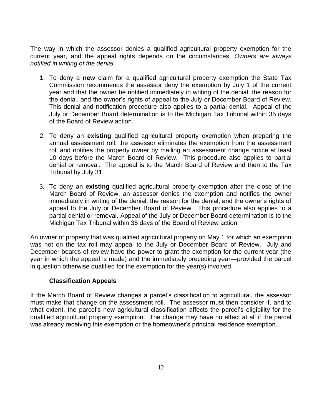The way in which the assessor denies a qualified agricultural property exemption for the current year, and the appeal rights depends on the circumstances. *Owners are always notified in writing of the denial.*

- 1. To deny a **new** claim for a qualified agricultural property exemption the State Tax Commission recommends the assessor deny the exemption by July 1 of the current year and that the owner be notified immediately in writing of the denial, the reason for the denial, and the owner's rights of appeal to the July or December Board of Review. This denial and notification procedure also applies to a partial denial. Appeal of the July or December Board determination is to the Michigan Tax Tribunal within 35 days of the Board of Review action.
- 2. To deny an **existing** qualified agricultural property exemption when preparing the annual assessment roll, the assessor eliminates the exemption from the assessment roll and notifies the property owner by mailing an assessment change notice at least 10 days before the March Board of Review. This procedure also applies to partial denial or removal. The appeal is to the March Board of Review and then to the Tax Tribunal by July 31.
- 3. To deny an **existing** qualified agricultural property exemption after the close of the March Board of Review, an assessor denies the exemption and notifies the owner immediately in writing of the denial, the reason for the denial, and the owner's rights of appeal to the July or December Board of Review. This procedure also applies to a partial denial or removal. Appeal of the July or December Board determination is to the Michigan Tax Tribunal within 35 days of the Board of Review action

An owner of property that was qualified agricultural property on May 1 for which an exemption was not on the tax roll may appeal to the July or December Board of Review. July and December boards of review have the power to grant the exemption for the current year (the year in which the appeal is made) and the immediately preceding year—provided the parcel in question otherwise qualified for the exemption for the year(s) involved.

### **Classification Appeals**

<span id="page-12-0"></span>If the March Board of Review changes a parcel's classification to agricultural, the assessor must make that change on the assessment roll. The assessor must then consider if, and to what extent, the parcel's new agricultural classification affects the parcel's eligibility for the qualified agricultural property exemption. The change may have no effect at all if the parcel was already receiving this exemption or the homeowner's principal residence exemption.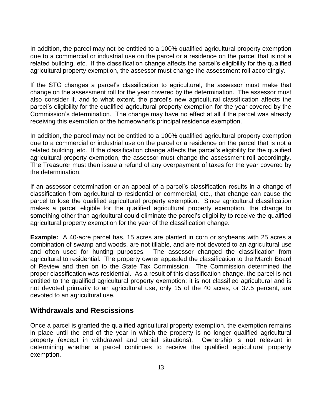In addition, the parcel may not be entitled to a 100% qualified agricultural property exemption due to a commercial or industrial use on the parcel or a residence on the parcel that is not a related building, etc. If the classification change affects the parcel's eligibility for the qualified agricultural property exemption, the assessor must change the assessment roll accordingly.

If the STC changes a parcel's classification to agricultural, the assessor must make that change on the assessment roll for the year covered by the determination. The assessor must also consider if, and to what extent, the parcel's new agricultural classification affects the parcel's eligibility for the qualified agricultural property exemption for the year covered by the Commission's determination. The change may have no effect at all if the parcel was already receiving this exemption or the homeowner's principal residence exemption.

In addition, the parcel may not be entitled to a 100% qualified agricultural property exemption due to a commercial or industrial use on the parcel or a residence on the parcel that is not a related building, etc. If the classification change affects the parcel's eligibility for the qualified agricultural property exemption, the assessor must change the assessment roll accordingly. The Treasurer must then issue a refund of any overpayment of taxes for the year covered by the determination.

If an assessor determination or an appeal of a parcel's classification results in a change of classification from agricultural to residential or commercial, etc., that change can cause the parcel to lose the qualified agricultural property exemption. Since agricultural classification makes a parcel eligible for the qualified agricultural property exemption, the change to something other than agricultural could eliminate the parcel's eligibility to receive the qualified agricultural property exemption for the year of the classification change.

**Example:** A 40-acre parcel has, 15 acres are planted in corn or soybeans with 25 acres a combination of swamp and woods, are not tillable, and are not devoted to an agricultural use and often used for hunting purposes. The assessor changed the classification from agricultural to residential. The property owner appealed the classification to the March Board of Review and then on to the State Tax Commission. The Commission determined the proper classification was residential. As a result of this classification change, the parcel is not entitled to the qualified agricultural property exemption; it is not classified agricultural and is not devoted primarily to an agricultural use, only 15 of the 40 acres, or 37.5 percent, are devoted to an agricultural use*.*

### <span id="page-13-0"></span>**Withdrawals and Rescissions**

Once a parcel is granted the qualified agricultural property exemption, the exemption remains in place until the end of the year in which the property is no longer qualified agricultural property (except in withdrawal and denial situations). Ownership is **not** relevant in determining whether a parcel continues to receive the qualified agricultural property exemption.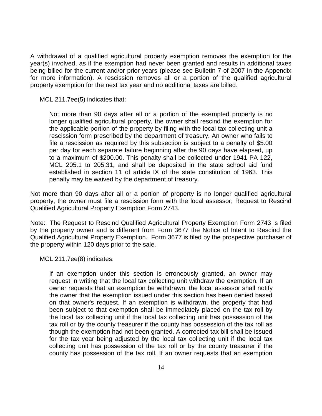A withdrawal of a qualified agricultural property exemption removes the exemption for the year(s) involved, as if the exemption had never been granted and results in additional taxes being billed for the current and/or prior years (please see Bulletin 7 of 2007 in the Appendix for more information). A rescission removes all or a portion of the qualified agricultural property exemption for the next tax year and no additional taxes are billed.

MCL 211.7ee(5) indicates that:

Not more than 90 days after all or a portion of the exempted property is no longer qualified agricultural property, the owner shall rescind the exemption for the applicable portion of the property by filing with the local tax collecting unit a rescission form prescribed by the department of treasury. An owner who fails to file a rescission as required by this subsection is subject to a penalty of \$5.00 per day for each separate failure beginning after the 90 days have elapsed, up to a maximum of \$200.00. This penalty shall be collected under 1941 PA 122, MCL 205.1 to 205.31, and shall be deposited in the state school aid fund established in section 11 of article IX of the state constitution of 1963. This penalty may be waived by the department of treasury.

Not more than 90 days after all or a portion of property is no longer qualified agricultural property, the owner must file a rescission form with the local assessor; Request to Rescind Qualified Agricultural Property Exemption Form 2743*.* 

Note: The Request to Rescind Qualified Agricultural Property Exemption Form 2743 is filed by the property owner and is different from Form 3677 the Notice of Intent to Rescind the Qualified Agricultural Property Exemption. Form 3677 is filed by the prospective purchaser of the property within 120 days prior to the sale.

MCL 211.7ee(8) indicates:

If an exemption under this section is erroneously granted, an owner may request in writing that the local tax collecting unit withdraw the exemption. If an owner requests that an exemption be withdrawn, the local assessor shall notify the owner that the exemption issued under this section has been denied based on that owner's request. If an exemption is withdrawn, the property that had been subject to that exemption shall be immediately placed on the tax roll by the local tax collecting unit if the local tax collecting unit has possession of the tax roll or by the county treasurer if the county has possession of the tax roll as though the exemption had not been granted. A corrected tax bill shall be issued for the tax year being adjusted by the local tax collecting unit if the local tax collecting unit has possession of the tax roll or by the county treasurer if the county has possession of the tax roll. If an owner requests that an exemption